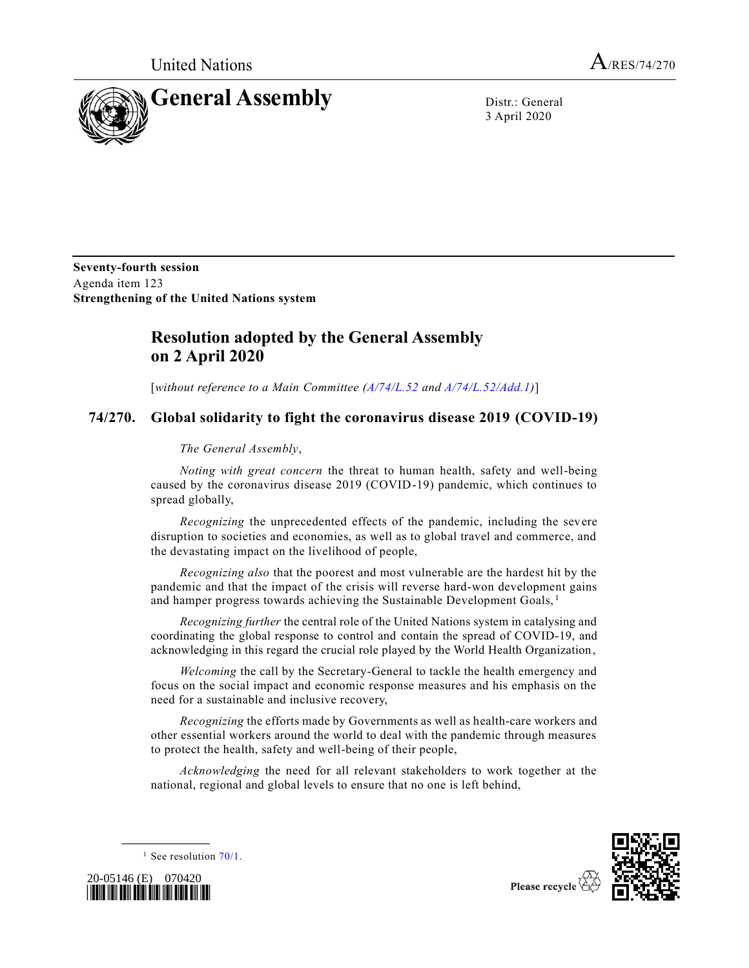United Nations  $A_{/RES/74/270}$ 



3 April 2020

**Seventy-fourth session** Agenda item 123 **Strengthening of the United Nations system**

## **Resolution adopted by the General Assembly on 2 April 2020**

[*without reference to a Main Committee [\(A/74/L.52](https://undocs.org/en/A/74/L.52) and [A/74/L.52/Add.1\)](https://undocs.org/en/A/74/L.52/Add.1)*]

## **74/270. Global solidarity to fight the coronavirus disease 2019 (COVID-19)**

## *The General Assembly*,

*Noting with great concern* the threat to human health, safety and well-being caused by the coronavirus disease 2019 (COVID-19) pandemic, which continues to spread globally,

*Recognizing* the unprecedented effects of the pandemic, including the severe disruption to societies and economies, as well as to global travel and commerce, and the devastating impact on the livelihood of people,

*Recognizing also* that the poorest and most vulnerable are the hardest hit by the pandemic and that the impact of the crisis will reverse hard-won development gains and hamper progress towards achieving the Sustainable Development Goals, <sup>1</sup>

*Recognizing further* the central role of the United Nations system in catalysing and coordinating the global response to control and contain the spread of COVID-19, and acknowledging in this regard the crucial role played by the World Health Organization ,

*Welcoming* the call by the Secretary-General to tackle the health emergency and focus on the social impact and economic response measures and his emphasis on the need for a sustainable and inclusive recovery,

*Recognizing* the efforts made by Governments as well as health-care workers and other essential workers around the world to deal with the pandemic through measures to protect the health, safety and well-being of their people,

*Acknowledging* the need for all relevant stakeholders to work together at the national, regional and global levels to ensure that no one is left behind,



<sup>1</sup> See resolution  $70/1$ .



**\_\_\_\_\_\_\_\_\_\_\_\_\_\_\_\_\_\_**